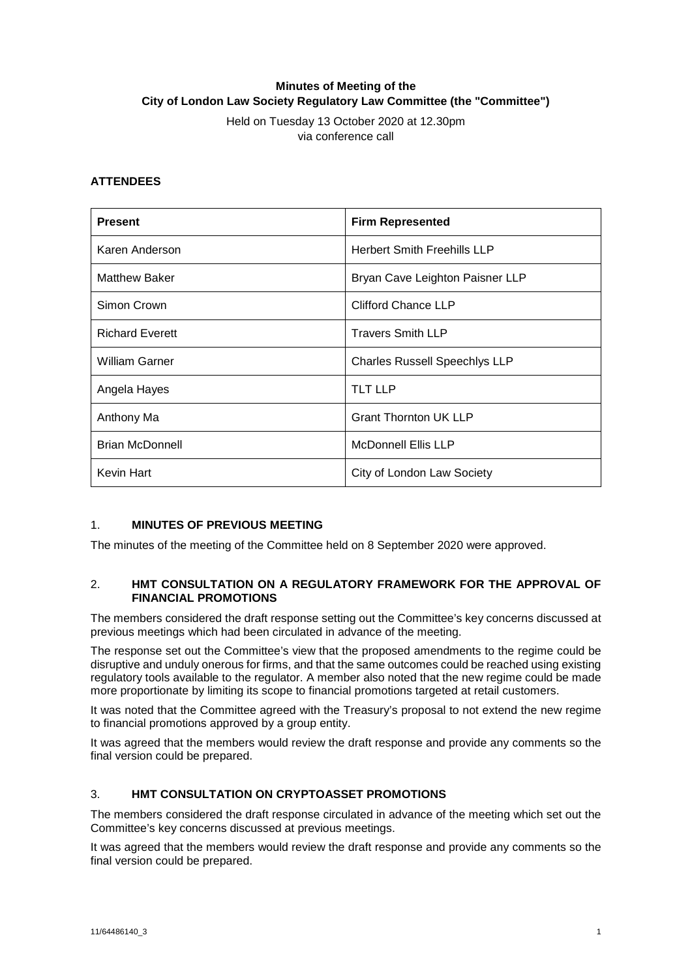# **Minutes of Meeting of the City of London Law Society Regulatory Law Committee (the "Committee")**

Held on Tuesday 13 October 2020 at 12.30pm via conference call

#### **ATTENDEES**

| <b>Present</b>         | <b>Firm Represented</b>              |
|------------------------|--------------------------------------|
| Karen Anderson         | <b>Herbert Smith Freehills LLP</b>   |
| <b>Matthew Baker</b>   | Bryan Cave Leighton Paisner LLP      |
| Simon Crown            | <b>Clifford Chance LLP</b>           |
| <b>Richard Everett</b> | <b>Travers Smith LLP</b>             |
| <b>William Garner</b>  | <b>Charles Russell Speechlys LLP</b> |
| Angela Hayes           | <b>TLT LLP</b>                       |
| Anthony Ma             | <b>Grant Thornton UK LLP</b>         |
| <b>Brian McDonnell</b> | <b>McDonnell Ellis LLP</b>           |
| Kevin Hart             | City of London Law Society           |

## 1. **MINUTES OF PREVIOUS MEETING**

The minutes of the meeting of the Committee held on 8 September 2020 were approved.

#### 2. **HMT CONSULTATION ON A REGULATORY FRAMEWORK FOR THE APPROVAL OF FINANCIAL PROMOTIONS**

The members considered the draft response setting out the Committee's key concerns discussed at previous meetings which had been circulated in advance of the meeting.

The response set out the Committee's view that the proposed amendments to the regime could be disruptive and unduly onerous for firms, and that the same outcomes could be reached using existing regulatory tools available to the regulator. A member also noted that the new regime could be made more proportionate by limiting its scope to financial promotions targeted at retail customers.

It was noted that the Committee agreed with the Treasury's proposal to not extend the new regime to financial promotions approved by a group entity.

It was agreed that the members would review the draft response and provide any comments so the final version could be prepared.

## 3. **HMT CONSULTATION ON CRYPTOASSET PROMOTIONS**

The members considered the draft response circulated in advance of the meeting which set out the Committee's key concerns discussed at previous meetings.

It was agreed that the members would review the draft response and provide any comments so the final version could be prepared.